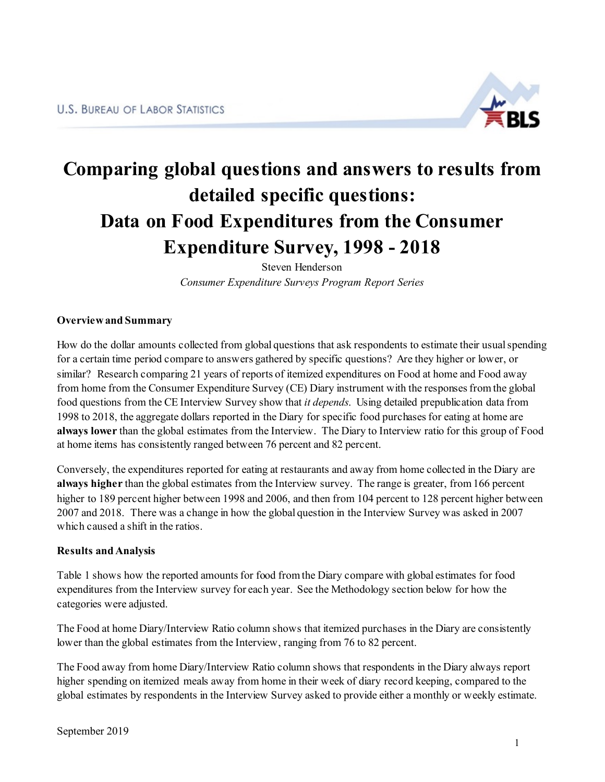

# **Comparing global questions and answers to results from detailed specific questions: Data on Food Expenditures from the Consumer Expenditure Survey, 1998 - 2018**

Steven Henderson *Consumer Expenditure Surveys Program Report Series*

### **Overview and Summary**

How do the dollar amounts collected from global questions that ask respondents to estimate their usual spending for a certain time period compare to answers gathered by specific questions? Are they higher or lower, or similar? Research comparing 21 years of reports of itemized expenditures on Food at home and Food away from home from the Consumer Expenditure Survey (CE) Diary instrument with the responses from the global food questions from the CE Interview Survey show that *it depends*. Using detailed prepublication data from 1998 to 2018, the aggregate dollars reported in the Diary for specific food purchases for eating at home are **always lower** than the global estimates from the Interview. The Diary to Interview ratio for this group of Food at home items has consistently ranged between 76 percent and 82 percent.

Conversely, the expenditures reported for eating at restaurants and away from home collected in the Diary are **always higher** than the global estimates from the Interview survey. The range is greater, from 166 percent higher to 189 percent higher between 1998 and 2006, and then from 104 percent to 128 percent higher between 2007 and 2018. There was a change in how the global question in the Interview Survey was asked in 2007 which caused a shift in the ratios.

#### **Results and Analysis**

Table 1 shows how the reported amounts for food from the Diary compare with global estimates for food expenditures from the Interview survey for each year. See the Methodology section below for how the categories were adjusted.

The Food at home Diary/Interview Ratio column shows that itemized purchases in the Diary are consistently lower than the global estimates from the Interview, ranging from 76 to 82 percent.

The Food away from home Diary/Interview Ratio column shows that respondents in the Diary always report higher spending on itemized meals away from home in their week of diary record keeping, compared to the global estimates by respondents in the Interview Survey asked to provide either a monthly or weekly estimate.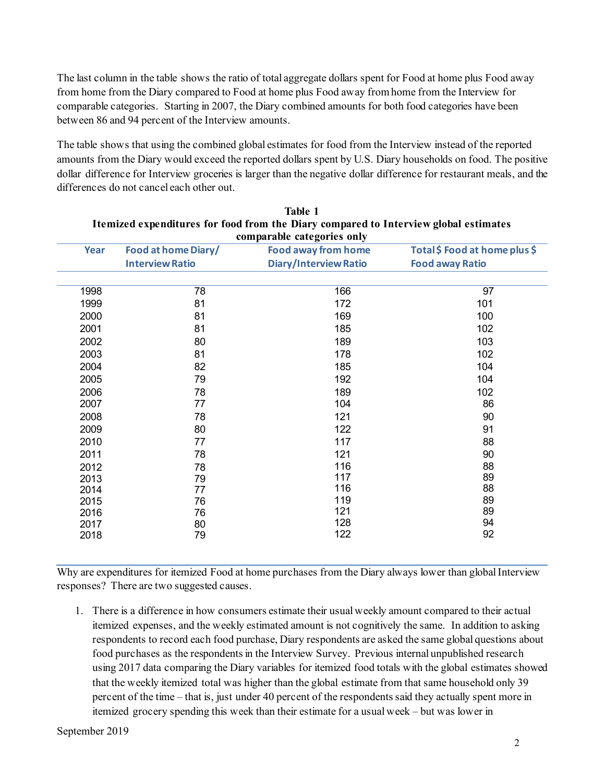The last column in the table shows the ratio of total aggregate dollars spent for Food at home plus Food away from home from the Diary compared to Food at home plus Food away from home from the Interview for comparable categories. Starting in 2007, the Diary combined amounts for both food categories have been between 86 and 94 percent of the Interview amounts.

The table shows that using the combined global estimates for food from the Interview instead of the reported amounts from the Diary would exceed the reported dollars spent by U.S. Diary households on food. The positive dollar difference for Interview groceries is larger than the negative dollar difference for restaurant meals, and the differences do not cancel each other out.

| comparable categories only |                        |                              |                               |  |
|----------------------------|------------------------|------------------------------|-------------------------------|--|
| Year                       | Food at home Diary/    | <b>Food away from home</b>   | Total \$ Food at home plus \$ |  |
|                            | <b>Interview Ratio</b> | <b>Diary/Interview Ratio</b> | <b>Food away Ratio</b>        |  |
|                            |                        |                              |                               |  |
| 1998                       | 78                     | 166                          | 97                            |  |
| 1999                       | 81                     | 172                          | 101                           |  |
| 2000                       | 81                     | 169                          | 100                           |  |
| 2001                       | 81                     | 185                          | 102                           |  |
| 2002                       | 80                     | 189                          | 103                           |  |
| 2003                       | 81                     | 178                          | 102                           |  |
| 2004                       | 82                     | 185                          | 104                           |  |
| 2005                       | 79                     | 192                          | 104                           |  |
| 2006                       | 78                     | 189                          | 102                           |  |
| 2007                       | 77                     | 104                          | 86                            |  |
| 2008                       | 78                     | 121                          | 90                            |  |
| 2009                       | 80                     | 122                          | 91                            |  |
| 2010                       | 77                     | 117                          | 88                            |  |
| 2011                       | 78                     | 121                          | 90                            |  |
| 2012                       | 78                     | 116                          | 88                            |  |
| 2013                       | 79                     | 117                          | 89                            |  |
| 2014                       | 77                     | 116                          | 88                            |  |
| 2015                       | 76                     | 119                          | 89                            |  |
| 2016                       | 76                     | 121                          | 89                            |  |
| 2017                       | 80                     | 128                          | 94                            |  |
| 2018                       | 79                     | 122                          | 92                            |  |

| Table 1                                                                              |
|--------------------------------------------------------------------------------------|
| Itemized expenditures for food from the Diary compared to Interview global estimates |
| comporable cotogories only                                                           |

Why are expenditures for itemized Food at home purchases from the Diary always lower than global Interview responses? There are two suggested causes.

1. There is a difference in how consumers estimate their usual weekly amount compared to their actual itemized expenses, and the weekly estimated amount is not cognitively the same. In addition to asking respondents to record each food purchase, Diary respondents are asked the same global questions about food purchases as the respondents in the Interview Survey. Previous internal unpublished research using 2017 data comparing the Diary variables for itemized food totals with the global estimates showed that the weekly itemized total was higher than the global estimate from that same household only 39 percent of the time – that is, just under 40 percent of the respondents said they actually spent more in itemized grocery spending this week than their estimate for a usual week – but was lower in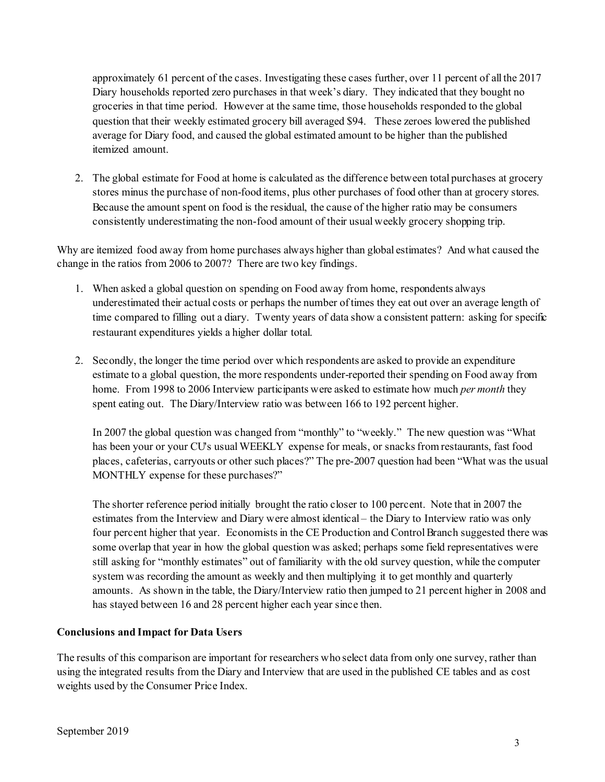approximately 61 percent of the cases. Investigating these cases further, over 11 percent of all the 2017 Diary households reported zero purchases in that week's diary. They indicated that they bought no groceries in that time period. However at the same time, those households responded to the global question that their weekly estimated grocery bill averaged \$94. These zeroes lowered the published average for Diary food, and caused the global estimated amount to be higher than the published itemized amount.

2. The global estimate for Food at home is calculated as the difference between total purchases at grocery stores minus the purchase of non-food items, plus other purchases of food other than at grocery stores. Because the amount spent on food is the residual, the cause of the higher ratio may be consumers consistently underestimating the non-food amount of their usual weekly grocery shopping trip.

Why are itemized food away from home purchases always higher than global estimates? And what caused the change in the ratios from 2006 to 2007? There are two key findings.

- 1. When asked a global question on spending on Food away from home, respondents always underestimated their actual costs or perhaps the number of times they eat out over an average length of time compared to filling out a diary. Twenty years of data show a consistent pattern: asking for specific restaurant expenditures yields a higher dollar total.
- 2. Secondly, the longer the time period over which respondents are asked to provide an expenditure estimate to a global question, the more respondents under-reported their spending on Food away from home. From 1998 to 2006 Interview participants were asked to estimate how much *per month* they spent eating out. The Diary/Interview ratio was between 166 to 192 percent higher.

In 2007 the global question was changed from "monthly" to "weekly." The new question was "What has been your or your CU's usual WEEKLY expense for meals, or snacks from restaurants, fast food places, cafeterias, carryouts or other such places?" The pre-2007 question had been "What was the usual MONTHLY expense for these purchases?"

The shorter reference period initially brought the ratio closer to 100 percent. Note that in 2007 the estimates from the Interview and Diary were almost identical – the Diary to Interview ratio was only four percent higher that year. Economists in the CE Production and Control Branch suggested there was some overlap that year in how the global question was asked; perhaps some field representatives were still asking for "monthly estimates" out of familiarity with the old survey question, while the computer system was recording the amount as weekly and then multiplying it to get monthly and quarterly amounts. As shown in the table, the Diary/Interview ratio then jumped to 21 percent higher in 2008 and has stayed between 16 and 28 percent higher each year since then.

## **Conclusions and Impact for Data Users**

The results of this comparison are important for researchers who select data from only one survey, rather than using the integrated results from the Diary and Interview that are used in the published CE tables and as cost weights used by the Consumer Price Index.